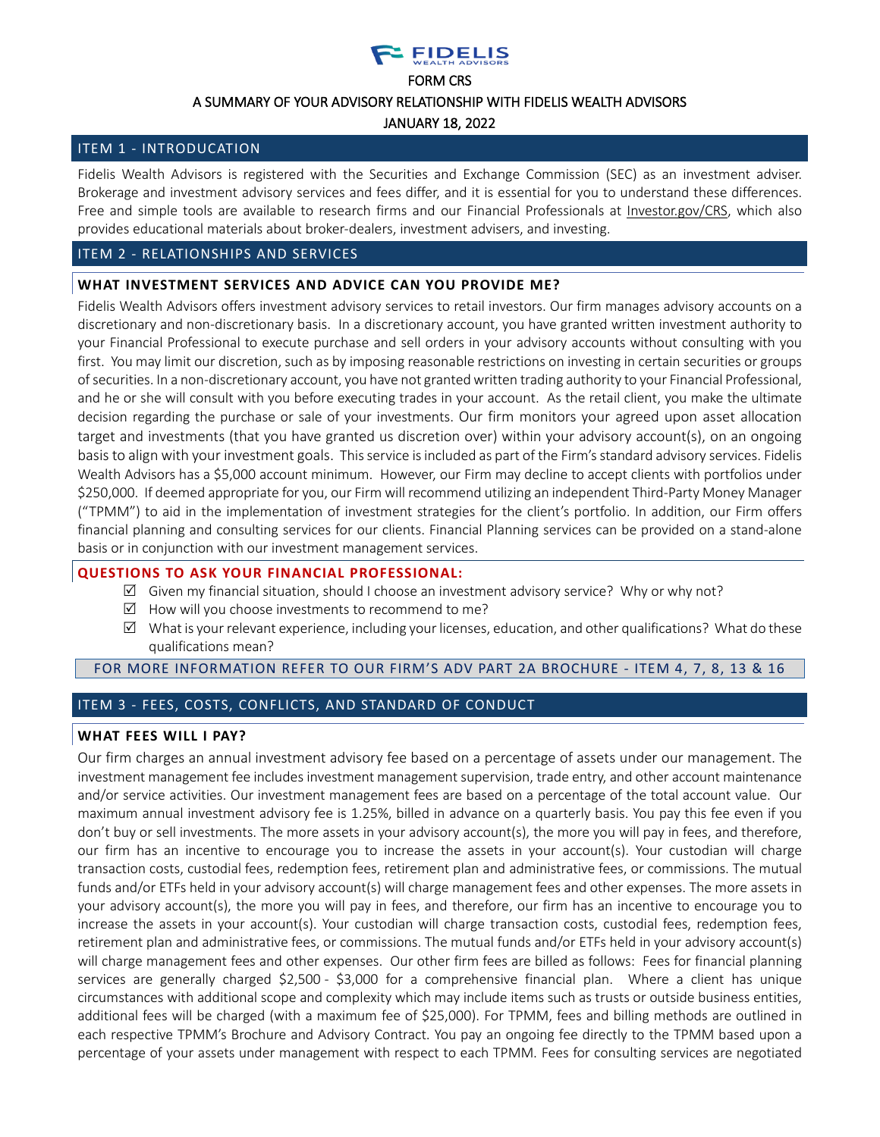# **EIDELIS**

#### FORM CRS

#### A SUMMARY OF YOUR ADVISORY RELATIONSHIP WITH FIDELIS WEALTH ADVISORS

JANUARY 18, 2022

# ITEM 1 - INTRODUCATION

Fidelis Wealth Advisors is registered with the Securities and Exchange Commission (SEC) as an investment adviser. Brokerage and investment advisory services and fees differ, and it is essential for you to understand these differences. Free and simple tools are available to research firms and our Financial Professionals at [Investor.gov/CRS,](https://www.investor.gov/CRS) which also provides educational materials about broker-dealers, investment advisers, and investing.

# ITEM 2 - RELATIONSHIPS AND SERVICES

# **WHAT INVESTMENT SERVICES AND ADVICE CAN YOU PROVIDE ME?**

Fidelis Wealth Advisors offers investment advisory services to retail investors. Our firm manages advisory accounts on a discretionary and non-discretionary basis. In a discretionary account, you have granted written investment authority to your Financial Professional to execute purchase and sell orders in your advisory accounts without consulting with you first. You may limit our discretion, such as by imposing reasonable restrictions on investing in certain securities or groups ofsecurities. In a non-discretionary account, you have not grantedwritten trading authority to your Financial Professional, and he or she will consult with you before executing trades in your account. As the retail client, you make the ultimate decision regarding the purchase or sale of your investments. Our firm monitors your agreed upon asset allocation target and investments (that you have granted us discretion over) within your advisory account(s), on an ongoing basis to align with your investment goals. This service is included as part of the Firm's standard advisory services. Fidelis Wealth Advisors has a \$5,000 account minimum. However, our Firm may decline to accept clients with portfolios under \$250,000. If deemed appropriate for you, our Firm will recommend utilizing an independent Third-Party Money Manager ("TPMM") to aid in the implementation of investment strategies for the client's portfolio. In addition, our Firm offers financial planning and consulting services for our clients. Financial Planning services can be provided on a stand-alone basis or in conjunction with our investment management services.

# **QUESTIONS TO ASK YOUR FINANCIAL PROFESSIONAL:**

- $\boxtimes$  Given my financial situation, should I choose an investment advisory service? Why or why not?
- $\boxtimes$  How will you choose investments to recommend to me?
- $\boxtimes$  What is your relevant experience, including your licenses, education, and other qualifications? What do these qualifications mean?

# FOR MORE INFORMATION REFER TO OUR FIRM'S ADV PART 2A [BROCHURE](https://files.adviserinfo.sec.gov/IAPD/Content/Common/crd_iapd_Brochure.aspx?BRCHR_VRSN_ID=726013) - ITEM 4, 7, 8, 13 & 16

# ITEM 3 - FEES, COSTS, CONFLICTS, AND STANDARD OF CONDUCT

# **WHAT FEES WILL I PAY?**

Our firm charges an annual investment advisory fee based on a percentage of assets under our management. The investment management fee includes investment management supervision, trade entry, and other account maintenance and/or service activities. Our investment management fees are based on a percentage of the total account value. Our maximum annual investment advisory fee is 1.25%, billed in advance on a quarterly basis. You pay this fee even if you don't buy or sell investments. The more assets in your advisory account(s), the more you will pay in fees, and therefore, our firm has an incentive to encourage you to increase the assets in your account(s). Your custodian will charge transaction costs, custodial fees, redemption fees, retirement plan and administrative fees, or commissions. The mutual funds and/or ETFs held in your advisory account(s) will charge management fees and other expenses. The more assets in your advisory account(s), the more you will pay in fees, and therefore, our firm has an incentive to encourage you to increase the assets in your account(s). Your custodian will charge transaction costs, custodial fees, redemption fees, retirement plan and administrative fees, or commissions. The mutual funds and/or ETFs held in your advisory account(s) will charge management fees and other expenses. Our other firm fees are billed as follows: Fees for financial planning services are generally charged \$2,500 - \$3,000 for a comprehensive financial plan. Where a client has unique circumstances with additional scope and complexity which may include items such as trusts or outside business entities, additional fees will be charged (with a maximum fee of \$25,000). For TPMM, fees and billing methods are outlined in each respective TPMM's Brochure and Advisory Contract. You pay an ongoing fee directly to the TPMM based upon a percentage of your assets under management with respect to each TPMM. Fees for consulting services are negotiated